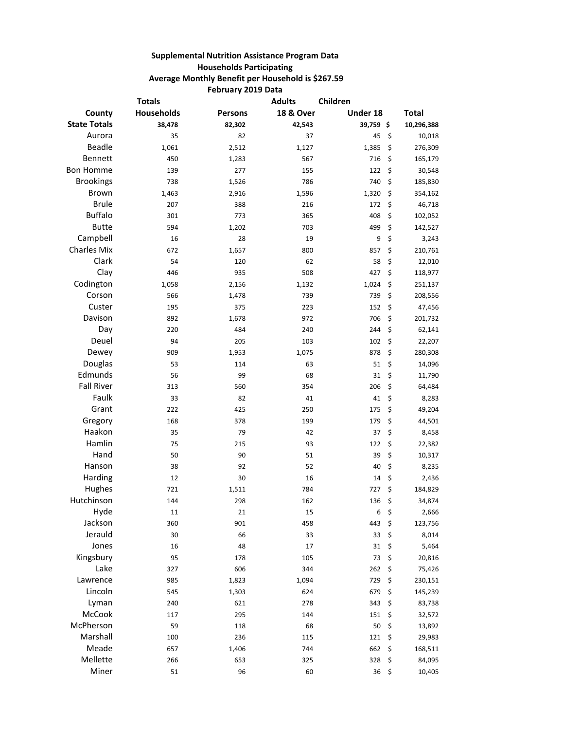## **Supplemental Nutrition Assistance Program Data Households Participating Average Monthly Benefit per Household is \$267.59 February 2019 Data**

|                     | <b>Totals</b>     |                | <b>Adults</b>        | Children |               |
|---------------------|-------------------|----------------|----------------------|----------|---------------|
| County              | <b>Households</b> | <b>Persons</b> | <b>18 &amp; Over</b> | Under 18 | <b>Total</b>  |
| <b>State Totals</b> | 38,478            | 82,302         | 42,543               | 39,759\$ | 10,296,388    |
| Aurora              | 35                | 82             | 37                   | 45       | \$<br>10,018  |
| <b>Beadle</b>       | 1,061             | 2,512          | 1,127                | 1,385    | \$<br>276,309 |
| Bennett             | 450               | 1,283          | 567                  | 716      | \$<br>165,179 |
| <b>Bon Homme</b>    | 139               | 277            | 155                  | 122      | \$<br>30,548  |
| <b>Brookings</b>    | 738               | 1,526          | 786                  | 740      | \$<br>185,830 |
| <b>Brown</b>        | 1,463             | 2,916          | 1,596                | 1,320    | \$<br>354,162 |
| <b>Brule</b>        | 207               | 388            | 216                  | 172      | \$<br>46,718  |
| <b>Buffalo</b>      | 301               | 773            | 365                  | 408      | \$<br>102,052 |
| <b>Butte</b>        | 594               | 1,202          | 703                  | 499      | \$<br>142,527 |
| Campbell            | 16                | 28             | 19                   | 9        | \$<br>3,243   |
| <b>Charles Mix</b>  | 672               | 1,657          | 800                  | 857      | \$<br>210,761 |
| Clark               | 54                | 120            | 62                   | 58       | \$<br>12,010  |
| Clay                | 446               | 935            | 508                  | 427      | \$<br>118,977 |
| Codington           | 1,058             | 2,156          | 1,132                | 1,024    | \$<br>251,137 |
| Corson              | 566               | 1,478          | 739                  | 739      | \$<br>208,556 |
| Custer              | 195               | 375            | 223                  | 152      | \$<br>47,456  |
| Davison             | 892               | 1,678          | 972                  | 706      | \$<br>201,732 |
| Day                 | 220               | 484            | 240                  | 244      | \$<br>62,141  |
| Deuel               | 94                | 205            | 103                  | 102      | \$<br>22,207  |
| Dewey               | 909               | 1,953          | 1,075                | 878      | \$<br>280,308 |
| Douglas             | 53                | 114            | 63                   | 51       | \$<br>14,096  |
| Edmunds             | 56                | 99             | 68                   | 31       | \$<br>11,790  |
| <b>Fall River</b>   | 313               | 560            | 354                  | 206      | \$<br>64,484  |
| Faulk               | 33                | 82             | 41                   | 41       | \$<br>8,283   |
| Grant               | 222               | 425            | 250                  | 175      | \$<br>49,204  |
| Gregory             | 168               | 378            | 199                  | 179      | \$<br>44,501  |
| Haakon              | 35                | 79             | 42                   | 37       | \$<br>8,458   |
| Hamlin              | 75                | 215            | 93                   | 122      | \$<br>22,382  |
| Hand                | 50                | 90             | 51                   | 39       | \$<br>10,317  |
| Hanson              | 38                | 92             | 52                   | 40       | \$<br>8,235   |
| Harding             | 12                | 30             | 16                   | 14       | \$<br>2,436   |
| Hughes              | 721               | 1,511          | 784                  | 727      | \$<br>184,829 |
| Hutchinson          | 144               | 298            | 162                  | 136      | \$<br>34,874  |
| Hyde                | 11                | 21             | 15                   | 6        | \$<br>2,666   |
| Jackson             | 360               | 901            | 458                  | 443      | \$<br>123,756 |
| Jerauld             | 30                | 66             | 33                   | 33       | \$<br>8,014   |
| Jones               | 16                | 48             | 17                   | 31       | \$<br>5,464   |
| Kingsbury           | 95                | 178            | 105                  | 73       | \$<br>20,816  |
| Lake                | 327               | 606            | 344                  | 262      | \$<br>75,426  |
| Lawrence            | 985               | 1,823          | 1,094                | 729      | \$<br>230,151 |
| Lincoln             | 545               | 1,303          | 624                  | 679      | \$<br>145,239 |
| Lyman               | 240               | 621            | 278                  | 343      | \$<br>83,738  |
| McCook              | 117               | 295            | 144                  | 151      | \$            |
| McPherson           | 59                |                |                      | 50       | 32,572        |
| Marshall            |                   | 118            | 68                   | 121      | \$<br>13,892  |
| Meade               | 100               | 236            | 115                  | 662      | \$<br>29,983  |
| Mellette            | 657               | 1,406          | 744                  |          | \$<br>168,511 |
| Miner               | 266               | 653            | 325                  | 328      | \$<br>84,095  |
|                     | 51                | 96             | 60                   | 36       | \$<br>10,405  |